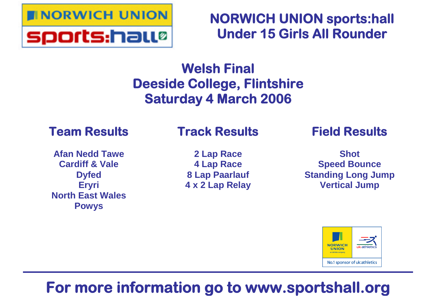

**NORWICH UNION sports:hall Under 15 Girls All Rounder**

# **Welsh Final Deeside College, Flintshire Saturday 4 March 2006**

# **Team Results**

**Afan Nedd Tawe Cardiff & Vale Dyfed Eryri North East Wales Powys**

# **Track Results**

**2 Lap Race 4 Lap Race 8 Lap Paarlauf 4 x 2 Lap Relay**

# **Field Results**

**Shot Speed Bounce Standing Long Jump Vertical Jump**



# **For more information go to www.sportshall.org**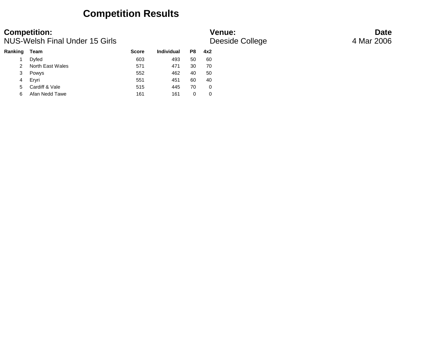### **Competition Results**

### NUS-Welsh Final Under 15 Girls **And The College College Access** 4 Mar 2006

## **Competition: Venue: Date**

| <b>Ranking</b> | Team             | <b>Score</b> | Individual | P8 | 4x2 |
|----------------|------------------|--------------|------------|----|-----|
|                | Dyfed            | 603          | 493        | 50 | 60  |
|                | North East Wales | 571          | 471        | 30 | 70  |
| 3              | Powys            | 552          | 462        | 40 | 50  |
| 4              | Ervri            | 551          | 451        | 60 | 40  |
| 5              | Cardiff & Vale   | 515          | 445        | 70 | 0   |
| 6              | Afan Nedd Tawe   | 161          | 161        |    | 0   |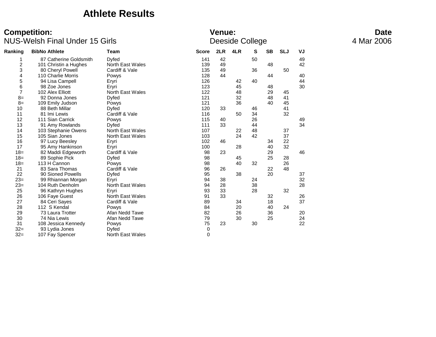### **Athlete Results**

| Ranking        | <b>BibNo Athlete</b>   | Team                    | <b>Score</b> | 2LR | 4LR | S  | <b>SB</b> | <b>SLJ</b> | VJ |
|----------------|------------------------|-------------------------|--------------|-----|-----|----|-----------|------------|----|
| 1              | 87 Catherine Goldsmith | Dyfed                   | 141          | 42  |     | 50 |           |            | 49 |
| $\overline{c}$ | 101 Christin a Hughes  | North East Wales        | 139          | 49  |     |    | 48        |            | 42 |
| 3              | 80 Cheryl Powell       | Cardiff & Vale          | 135          | 49  |     | 36 |           | 50         |    |
| 4              | 110 Charlie Morris     | Powys                   | 128          | 44  |     |    | 44        |            | 40 |
| 5              | 94 Lisa Campell        | Eryri                   | 126          |     | 42  | 40 |           |            | 44 |
| 6              | 98 Zoe Jones           | Eryri                   | 123          |     | 45  |    | 48        |            | 30 |
| 7              | 102 Alex Elliott       | <b>North East Wales</b> | 122          |     | 48  |    | 29        | 45         |    |
| $8=$           | 92 Donna Jones         | Dyfed                   | 121          |     | 32  |    | 48        | 41         |    |
| $8=$           | 109 Emily Judson       | Powys                   | 121          |     | 36  |    | 40        | 45         |    |
| 10             | 88 Beth Millar         | Dyfed                   | 120          | 33  |     | 46 |           | 41         |    |
| 11             | 81 Imi Lewis           | Cardiff & Vale          | 116          |     | 50  | 34 |           | 32         |    |
| 12             | 111 Sian Carrick       | Powys                   | 115          | 40  |     | 26 |           |            | 49 |
| 13             | 91 Amy Rowlands        | Dyfed                   | 111          | 33  |     | 44 |           |            | 34 |
| 14             | 103 Stephanie Owens    | North East Wales        | 107          |     | 22  | 48 |           | 37         |    |
| 15             | 105 Sian Jones         | North East Wales        | 103          |     | 24  | 42 |           | 37         |    |
| 16             | 97 Lucy Beesley        | Eryri                   | 102          | 46  |     |    | 34        | 22         |    |
| 17             | 95 Amy Hankinson       | Eryri                   | 100          |     | 28  |    | 40        | 32         |    |
| $18=$          | 82 Maddi Edgeworth     | Cardiff & Vale          | 98           | 23  |     |    | 29        |            | 46 |
| $18 =$         | 89 Sophie Pick         | Dyfed                   | 98           |     | 45  |    | 25        | 28         |    |
| $18 =$         | 113 H Cannon           | Powys                   | 98           |     | 40  | 32 |           | 26         |    |
| 21             | 83 Sara Thomas         | Cardiff & Vale          | 96           | 26  |     |    | 22        | 48         |    |
| 22             | 90 Sioned Powells      | Dyfed                   | 95           |     | 38  |    | 20        |            | 37 |
| $23=$          | 99 Rhiannan Morgan     | Eryri                   | 94           | 38  |     | 24 |           |            | 32 |
| $23=$          | 104 Ruth Denholm       | North East Wales        | 94           | 28  |     | 38 |           |            | 28 |
| 25             | 96 Kathryn Hughes      | Eryri                   | 93           | 33  |     | 28 |           | 32         |    |
| 26             | 106 Faye Guest         | North East Wales        | 91           | 33  |     |    | 32        |            | 26 |
| 27             | 84 Ceri Sayes          | Cardiff & Vale          | 89           |     | 34  |    | 18        |            | 37 |
| 28             | 112 S Kendal           | Powys                   | 84           |     | 20  |    | 40        | 24         |    |
| 29             | 73 Laura Trotter       | Afan Nedd Tawe          | 82           |     | 26  |    | 36        |            | 20 |
| 30             | 74 Nia Lewis           | Afan Nedd Tawe          | 79           |     | 30  |    | 25        |            | 24 |
| 31             | 108 Jessica Kennedy    | Powys                   | 75           | 23  |     | 30 |           |            | 22 |
| $32=$          | 93 Lydia Jones         | Dyfed                   | 0            |     |     |    |           |            |    |
| $32=$          | 107 Fay Spencer        | <b>North East Wales</b> | 0            |     |     |    |           |            |    |
|                |                        |                         |              |     |     |    |           |            |    |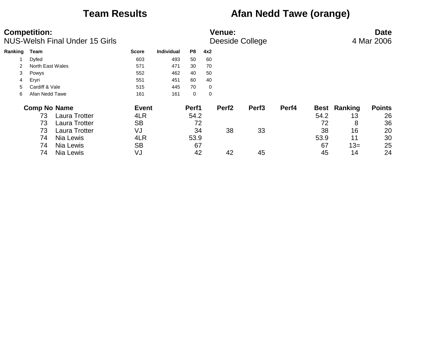## **Team Results Afan Nedd Tawe (orange)**

|         | <b>Competition:</b> | <b>NUS-Welsh Final Under 15 Girls</b> |              | <b>Venue:</b><br>Deeside College |       |     |                   |                   |       |             |         | <b>Date</b><br>4 Mar 2006 |
|---------|---------------------|---------------------------------------|--------------|----------------------------------|-------|-----|-------------------|-------------------|-------|-------------|---------|---------------------------|
| Ranking | Team                |                                       | <b>Score</b> | <b>Individual</b>                | P8    | 4x2 |                   |                   |       |             |         |                           |
|         | Dyfed               |                                       | 603          | 493                              | 50    | 60  |                   |                   |       |             |         |                           |
|         | North East Wales    |                                       | 571          | 471                              | 30    | 70  |                   |                   |       |             |         |                           |
| 3       | Powys               |                                       | 552          | 462                              | 40    | 50  |                   |                   |       |             |         |                           |
| 4       | Eryri               |                                       | 551          | 451                              | 60    | 40  |                   |                   |       |             |         |                           |
| 5       | Cardiff & Vale      |                                       | 515          | 445                              | 70    | 0   |                   |                   |       |             |         |                           |
| 6       | Afan Nedd Tawe      |                                       | 161          | 161                              | 0     | 0   |                   |                   |       |             |         |                           |
|         | <b>Comp No Name</b> |                                       | <b>Event</b> |                                  | Perf1 |     | Perf <sub>2</sub> | Perf <sub>3</sub> | Perf4 | <b>Best</b> | Ranking | <b>Points</b>             |
|         | 73                  | <b>Laura Trotter</b>                  | 4LR          |                                  | 54.2  |     |                   |                   |       | 54.2        | 13      | 26                        |
|         | 73                  | <b>Laura Trotter</b>                  | <b>SB</b>    |                                  | 72    |     |                   |                   |       | 72          | 8       | 36                        |
|         | 73                  | <b>Laura Trotter</b>                  | VJ           |                                  | 34    |     | 38                | 33                |       | 38          | 16      | 20                        |
|         | 74                  | Nia Lewis                             | 4LR          |                                  | 53.9  |     |                   |                   |       | 53.9        | 11      | 30                        |
|         | 74                  | Nia Lewis                             | <b>SB</b>    |                                  | 67    |     |                   |                   |       | 67          | $13=$   | 25                        |
|         | 74                  | Nia Lewis                             | VJ           |                                  | 42    |     | 42                | 45                |       | 45          | 14      | 24                        |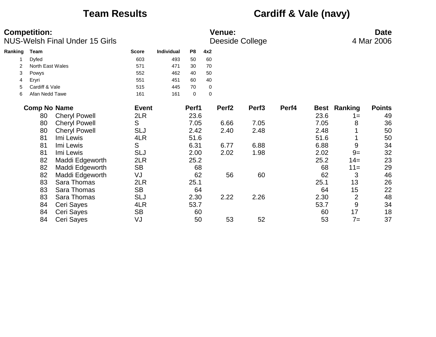## **Team Results Cardiff & Vale (navy)**

|         | <b>Competition:</b><br>NUS-Welsh Final Under 15 Girls |                      |              |                   |                |             | <b>Venue:</b>     | Deeside College   |       |      |                | <b>Date</b><br>4 Mar 2006 |
|---------|-------------------------------------------------------|----------------------|--------------|-------------------|----------------|-------------|-------------------|-------------------|-------|------|----------------|---------------------------|
| Ranking | Team                                                  |                      | <b>Score</b> | <b>Individual</b> | P <sub>8</sub> | 4x2         |                   |                   |       |      |                |                           |
| 1       | Dyfed                                                 |                      | 603          | 493               | 50             | 60          |                   |                   |       |      |                |                           |
|         | North East Wales                                      |                      | 571          | 471               | 30             | 70          |                   |                   |       |      |                |                           |
| 3       | Powys                                                 |                      | 552          | 462               | 40             | 50          |                   |                   |       |      |                |                           |
| 4       | Eryri                                                 |                      | 551          | 451               | 60             | 40          |                   |                   |       |      |                |                           |
| 5       | Cardiff & Vale                                        |                      | 515          | 445               | 70             | 0           |                   |                   |       |      |                |                           |
| 6       | Afan Nedd Tawe                                        |                      | 161          | 161               | $\pmb{0}$      | $\mathbf 0$ |                   |                   |       |      |                |                           |
|         | <b>Comp No Name</b>                                   |                      | <b>Event</b> |                   | Perf1          |             | Perf <sub>2</sub> | Perf <sub>3</sub> | Perf4 | Best | Ranking        | <b>Points</b>             |
|         | 80                                                    | <b>Cheryl Powell</b> | 2LR          |                   | 23.6           |             |                   |                   |       | 23.6 | $1 =$          | 49                        |
|         | 80                                                    | <b>Cheryl Powell</b> | S            |                   | 7.05           |             | 6.66              | 7.05              |       | 7.05 | 8              | 36                        |
|         | 80                                                    | <b>Cheryl Powell</b> | <b>SLJ</b>   |                   | 2.42           |             | 2.40              | 2.48              |       | 2.48 |                | 50                        |
|         | 81                                                    | Imi Lewis            | 4LR          |                   | 51.6           |             |                   |                   |       | 51.6 |                | 50                        |
|         | 81                                                    | Imi Lewis            | S            |                   | 6.31           |             | 6.77              | 6.88              |       | 6.88 | 9              | 34                        |
|         | 81                                                    | Imi Lewis            | <b>SLJ</b>   |                   | 2.00           |             | 2.02              | 1.98              |       | 2.02 | $9=$           | 32                        |
|         | 82                                                    | Maddi Edgeworth      | 2LR          |                   | 25.2           |             |                   |                   |       | 25.2 | $14=$          | 23                        |
|         | 82                                                    | Maddi Edgeworth      | <b>SB</b>    |                   | 68             |             |                   |                   |       | 68   | $11 =$         | 29                        |
|         | 82                                                    | Maddi Edgeworth      | VJ           |                   | 62             |             | 56                | 60                |       | 62   | 3              | 46                        |
|         | 83                                                    | Sara Thomas          | 2LR          |                   | 25.1           |             |                   |                   |       | 25.1 | 13             | 26                        |
|         | 83                                                    | Sara Thomas          | <b>SB</b>    |                   | 64             |             |                   |                   |       | 64   | 15             | 22                        |
|         | 83                                                    | Sara Thomas          | <b>SLJ</b>   |                   | 2.30           |             | 2.22              | 2.26              |       | 2.30 | $\overline{2}$ | 48                        |
|         | 84                                                    | Ceri Sayes           | 4LR          |                   | 53.7           |             |                   |                   |       | 53.7 | 9              | 34                        |
|         | 84                                                    | Ceri Sayes           | <b>SB</b>    |                   | 60             |             |                   |                   |       | 60   | 17             | 18                        |
|         | 84                                                    | Ceri Sayes           | VJ           |                   | 50             |             | 53                | 52                |       | 53   | $7 =$          | 37                        |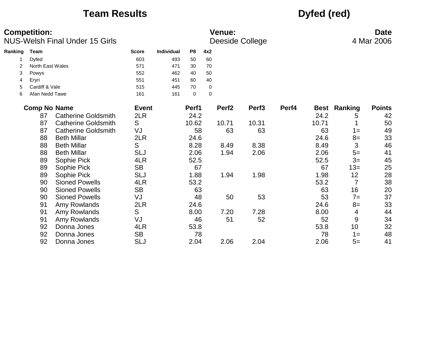## **Team Results Dyfed (red)**

|         | <b>Competition:</b> | <b>NUS-Welsh Final Under 15 Girls</b> |              |            |                |             | <b>Venue:</b>     | Deeside College   |       |       |                     | <b>Date</b><br>4 Mar 2006 |
|---------|---------------------|---------------------------------------|--------------|------------|----------------|-------------|-------------------|-------------------|-------|-------|---------------------|---------------------------|
| Ranking | Team                |                                       | <b>Score</b> | Individual | P <sub>8</sub> | 4x2         |                   |                   |       |       |                     |                           |
|         | Dyfed               |                                       | 603          | 493        | 50             | 60          |                   |                   |       |       |                     |                           |
| 2       | North East Wales    |                                       | 571          | 471        | 30             | 70          |                   |                   |       |       |                     |                           |
| 3       | Powys               |                                       | 552          | 462        | 40             | 50          |                   |                   |       |       |                     |                           |
| 4       | Eryri               |                                       | 551          | 451        | 60             | 40          |                   |                   |       |       |                     |                           |
| 5       | Cardiff & Vale      |                                       | 515          | 445        | 70             | 0           |                   |                   |       |       |                     |                           |
| 6       | Afan Nedd Tawe      |                                       | 161          | 161        | $\mathbf 0$    | $\mathbf 0$ |                   |                   |       |       |                     |                           |
|         | <b>Comp No Name</b> |                                       | <b>Event</b> |            | Perf1          |             | Perf <sub>2</sub> | Perf <sub>3</sub> | Perf4 |       | <b>Best Ranking</b> | <b>Points</b>             |
|         | 87                  | <b>Catherine Goldsmith</b>            | 2LR          |            | 24.2           |             |                   |                   |       | 24.2  | 5                   | 42                        |
|         | 87                  | <b>Catherine Goldsmith</b>            | S            |            | 10.62          |             | 10.71             | 10.31             |       | 10.71 |                     | 50                        |
|         | 87                  | <b>Catherine Goldsmith</b>            | VJ           |            | 58             |             | 63                | 63                |       | 63    | $1 =$               | 49                        |
|         | 88                  | <b>Beth Millar</b>                    | 2LR          |            | 24.6           |             |                   |                   |       | 24.6  | $8=$                | 33                        |
|         | 88                  | <b>Beth Millar</b>                    | S            |            | 8.28           |             | 8.49              | 8.38              |       | 8.49  | 3                   | 46                        |
|         | 88                  | <b>Beth Millar</b>                    | <b>SLJ</b>   |            | 2.06           |             | 1.94              | 2.06              |       | 2.06  | $5=$                | 41                        |
|         | 89                  | Sophie Pick                           | 4LR          |            | 52.5           |             |                   |                   |       | 52.5  | $3=$                | 45                        |
|         | 89                  | Sophie Pick                           | <b>SB</b>    |            | 67             |             |                   |                   |       | 67    | $13=$               | 25                        |
|         | 89                  | Sophie Pick                           | <b>SLJ</b>   |            | 1.88           |             | 1.94              | 1.98              |       | 1.98  | 12                  | 28                        |
|         | 90                  | <b>Sioned Powells</b>                 | 4LR          |            | 53.2           |             |                   |                   |       | 53.2  | $\overline{7}$      | 38                        |
|         | 90                  | <b>Sioned Powells</b>                 | <b>SB</b>    |            | 63             |             |                   |                   |       | 63    | 16                  | 20                        |
|         | 90                  | <b>Sioned Powells</b>                 | VJ           |            | 48             |             | 50                | 53                |       | 53    | $7=$                | 37                        |
|         | 91                  | Amy Rowlands                          | 2LR          |            | 24.6           |             |                   |                   |       | 24.6  | $8=$                | 33                        |
|         | 91                  | Amy Rowlands                          | S            |            | 8.00           |             | 7.20              | 7.28              |       | 8.00  | 4                   | 44                        |
|         | 91                  | Amy Rowlands                          | VJ           |            | 46             |             | 51                | 52                |       | 52    | 9                   | 34                        |
|         | 92                  | Donna Jones                           | 4LR          |            | 53.8           |             |                   |                   |       | 53.8  | 10                  | 32                        |
|         | 92                  | Donna Jones                           | <b>SB</b>    |            | 78             |             |                   |                   |       | 78    | $1 =$               | 48                        |
|         | 92                  | Donna Jones                           | <b>SLJ</b>   |            | 2.04           |             | 2.06              | 2.04              |       | 2.06  | $5=$                | 41                        |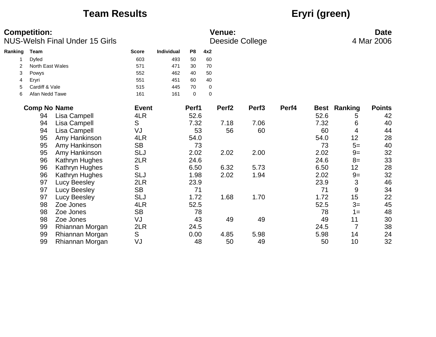## **Team Results Eryri (green)**

|         | <b>Competition:</b> | <b>NUS-Welsh Final Under 15 Girls</b> |              |                   |                |                  | <b>Venue:</b>     | <b>Deeside College</b> |       |             |                | <b>Date</b><br>4 Mar 2006 |
|---------|---------------------|---------------------------------------|--------------|-------------------|----------------|------------------|-------------------|------------------------|-------|-------------|----------------|---------------------------|
| Ranking | <b>Team</b>         |                                       | <b>Score</b> | <b>Individual</b> | P <sub>8</sub> | 4x2              |                   |                        |       |             |                |                           |
|         | Dyfed               |                                       | 603          | 493               | 50             | 60               |                   |                        |       |             |                |                           |
| 2       | North East Wales    |                                       | 571          | 471               | 30             | 70               |                   |                        |       |             |                |                           |
| 3       | Powys               |                                       | 552          | 462               | 40             | 50               |                   |                        |       |             |                |                           |
| 4       | Eryri               |                                       | 551          | 451               | 60             | 40               |                   |                        |       |             |                |                           |
| 5       | Cardiff & Vale      |                                       | 515          | 445               | 70             | $\boldsymbol{0}$ |                   |                        |       |             |                |                           |
| 6       | Afan Nedd Tawe      |                                       | 161          | 161               | $\mathbf 0$    | $\Omega$         |                   |                        |       |             |                |                           |
|         | <b>Comp No Name</b> |                                       | <b>Event</b> |                   | Perf1          |                  | Perf <sub>2</sub> | Perf <sub>3</sub>      | Perf4 | <b>Best</b> | Ranking        | <b>Points</b>             |
|         | 94                  | Lisa Campell                          | 4LR          |                   | 52.6           |                  |                   |                        |       | 52.6        | 5              | 42                        |
|         | 94                  | Lisa Campell                          | S            |                   | 7.32           |                  | 7.18              | 7.06                   |       | 7.32        | 6              | 40                        |
|         | 94                  | Lisa Campell                          | VJ           |                   | 53             |                  | 56                | 60                     |       | 60          | 4              | 44                        |
|         | 95                  | Amy Hankinson                         | 4LR          |                   | 54.0           |                  |                   |                        |       | 54.0        | 12             | 28                        |
|         | 95                  | Amy Hankinson                         | <b>SB</b>    |                   | 73             |                  |                   |                        |       | 73          | $5=$           | 40                        |
|         | 95                  | Amy Hankinson                         | <b>SLJ</b>   |                   | 2.02           |                  | 2.02              | 2.00                   |       | 2.02        | $9=$           | 32                        |
|         | 96                  | Kathryn Hughes                        | 2LR          |                   | 24.6           |                  |                   |                        |       | 24.6        | $8=$           | 33                        |
|         | 96                  | Kathryn Hughes                        | S            |                   | 6.50           |                  | 6.32              | 5.73                   |       | 6.50        | 12             | 28                        |
|         | 96                  | Kathryn Hughes                        | <b>SLJ</b>   |                   | 1.98           |                  | 2.02              | 1.94                   |       | 2.02        | $9=$           | 32                        |
|         | 97                  | <b>Lucy Beesley</b>                   | 2LR          |                   | 23.9           |                  |                   |                        |       | 23.9        | 3              | 46                        |
|         | 97                  | Lucy Beesley                          | <b>SB</b>    |                   | 71             |                  |                   |                        |       | 71          | 9              | 34                        |
|         | 97                  | <b>Lucy Beesley</b>                   | <b>SLJ</b>   |                   | 1.72           |                  | 1.68              | 1.70                   |       | 1.72        | 15             | 22                        |
|         | 98                  | Zoe Jones                             | 4LR          |                   | 52.5           |                  |                   |                        |       | 52.5        | $3=$           | 45                        |
|         | 98                  | Zoe Jones                             | <b>SB</b>    |                   | 78             |                  |                   |                        |       | 78          | $1 =$          | 48                        |
|         | 98                  | Zoe Jones                             | VJ           |                   | 43             |                  | 49                | 49                     |       | 49          | 11             | 30                        |
|         | 99                  | Rhiannan Morgan                       | 2LR          |                   | 24.5           |                  |                   |                        |       | 24.5        | $\overline{7}$ | 38                        |
|         | 99                  | Rhiannan Morgan                       | S            |                   | 0.00           |                  | 4.85              | 5.98                   |       | 5.98        | 14             | 24                        |
|         | 99                  | Rhiannan Morgan                       | VJ           |                   | 48             |                  | 50                | 49                     |       | 50          | 10             | 32                        |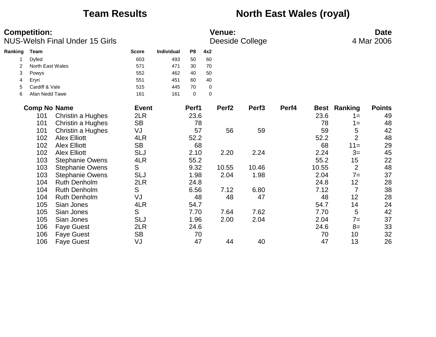## **Team Results <b>North East Wales (royal)**

|         | <b>Competition:</b> | <b>NUS-Welsh Final Under 15 Girls</b> |              |            |                |             | Venue:            | Deeside College   |       |       |                     | <b>Date</b><br>4 Mar 2006 |
|---------|---------------------|---------------------------------------|--------------|------------|----------------|-------------|-------------------|-------------------|-------|-------|---------------------|---------------------------|
| Ranking | Team                |                                       | <b>Score</b> | Individual | P <sub>8</sub> | 4x2         |                   |                   |       |       |                     |                           |
|         | Dyfed               |                                       | 603          | 493        | 50             | 60          |                   |                   |       |       |                     |                           |
| 2       | North East Wales    |                                       | 571          | 471        | 30             | 70          |                   |                   |       |       |                     |                           |
| 3       | Powys               |                                       | 552          | 462        | 40             | 50          |                   |                   |       |       |                     |                           |
| 4       | Eryri               |                                       | 551          | 451        | 60             | 40          |                   |                   |       |       |                     |                           |
| 5       | Cardiff & Vale      |                                       | 515          | 445        | 70             | $\mathbf 0$ |                   |                   |       |       |                     |                           |
| 6       | Afan Nedd Tawe      |                                       | 161          | 161        | $\mathbf 0$    | $\mathbf 0$ |                   |                   |       |       |                     |                           |
|         | <b>Comp No Name</b> |                                       | <b>Event</b> |            | Perf1          |             | Perf <sub>2</sub> | Perf <sub>3</sub> | Perf4 |       | <b>Best Ranking</b> | <b>Points</b>             |
|         | 101                 | Christin a Hughes                     | 2LR          |            | 23.6           |             |                   |                   |       | 23.6  | $1 =$               | 49                        |
|         | 101                 | Christin a Hughes                     | <b>SB</b>    |            | 78             |             |                   |                   |       | 78    | $1 =$               | 48                        |
|         | 101                 | Christin a Hughes                     | VJ           |            | 57             |             | 56                | 59                |       | 59    | 5                   | 42                        |
|         | 102                 | <b>Alex Elliott</b>                   | 4LR          |            | 52.2           |             |                   |                   |       | 52.2  | $\overline{2}$      | 48                        |
|         | 102                 | <b>Alex Elliott</b>                   | <b>SB</b>    |            | 68             |             |                   |                   |       | 68    | $11 =$              | 29                        |
|         | 102                 | <b>Alex Elliott</b>                   | <b>SLJ</b>   |            | 2.10           |             | 2.20              | 2.24              |       | 2.24  | $3=$                | 45                        |
|         | 103                 | <b>Stephanie Owens</b>                | 4LR          |            | 55.2           |             |                   |                   |       | 55.2  | 15                  | 22                        |
|         | 103                 | <b>Stephanie Owens</b>                | S            |            | 9.32           |             | 10.55             | 10.46             |       | 10.55 | $\overline{2}$      | 48                        |
|         | 103                 | <b>Stephanie Owens</b>                | <b>SLJ</b>   |            | 1.98           |             | 2.04              | 1.98              |       | 2.04  | $7 =$               | 37                        |
|         | 104                 | <b>Ruth Denholm</b>                   | 2LR          |            | 24.8           |             |                   |                   |       | 24.8  | 12                  | 28                        |
|         | 104                 | <b>Ruth Denholm</b>                   | S            |            | 6.56           |             | 7.12              | 6.80              |       | 7.12  | 7                   | 38                        |
|         | 104                 | <b>Ruth Denholm</b>                   | VJ           |            | 48             |             | 48                | 47                |       | 48    | 12                  | 28                        |
|         | 105                 | Sian Jones                            | 4LR          |            | 54.7           |             |                   |                   |       | 54.7  | 14                  | 24                        |
|         | 105                 | Sian Jones                            | S            |            | 7.70           |             | 7.64              | 7.62              |       | 7.70  | 5                   | 42                        |
|         | 105                 | Sian Jones                            | <b>SLJ</b>   |            | 1.96           |             | 2.00              | 2.04              |       | 2.04  | $7=$                | 37                        |
|         | 106                 | <b>Faye Guest</b>                     | 2LR          |            | 24.6           |             |                   |                   |       | 24.6  | $8=$                | 33                        |
|         | 106                 | <b>Faye Guest</b>                     | <b>SB</b>    |            | 70             |             |                   |                   |       | 70    | 10                  | 32                        |
|         | 106                 | <b>Faye Guest</b>                     | VJ           |            | 47             |             | 44                | 40                |       | 47    | 13                  | 26                        |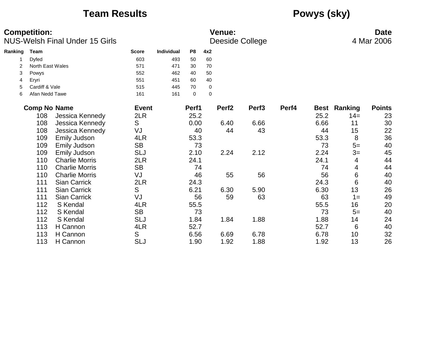## **Team Results Powys (sky)**

|         | <b>Competition:</b> | <b>NUS-Welsh Final Under 15 Girls</b> |              |                   |                |             | <b>Venue:</b>     | Deeside College   |       |             |         | <b>Date</b><br>4 Mar 2006 |
|---------|---------------------|---------------------------------------|--------------|-------------------|----------------|-------------|-------------------|-------------------|-------|-------------|---------|---------------------------|
| Ranking | Team                |                                       | <b>Score</b> | <b>Individual</b> | P <sub>8</sub> | 4x2         |                   |                   |       |             |         |                           |
|         | Dyfed               |                                       | 603          | 493               | 50             | 60          |                   |                   |       |             |         |                           |
| 2       | North East Wales    |                                       | 571          | 471               | 30             | 70          |                   |                   |       |             |         |                           |
| 3       | Powys               |                                       | 552          | 462               | 40             | 50          |                   |                   |       |             |         |                           |
| 4       | Eryri               |                                       | 551          | 451               | 60             | 40          |                   |                   |       |             |         |                           |
| 5       | Cardiff & Vale      |                                       | 515          | 445               | 70             | 0           |                   |                   |       |             |         |                           |
| 6       | Afan Nedd Tawe      |                                       | 161          | 161               | $\mathbf 0$    | $\mathbf 0$ |                   |                   |       |             |         |                           |
|         | <b>Comp No Name</b> |                                       | <b>Event</b> |                   | Perf1          |             | Perf <sub>2</sub> | Perf <sub>3</sub> | Perf4 | <b>Best</b> | Ranking | <b>Points</b>             |
|         | 108                 | Jessica Kennedy                       | 2LR          |                   | 25.2           |             |                   |                   |       | 25.2        | $14=$   | 23                        |
|         | 108                 | Jessica Kennedy                       | S            |                   | 0.00           |             | 6.40              | 6.66              |       | 6.66        | 11      | 30                        |
|         | 108                 | Jessica Kennedy                       | VJ           |                   | 40             |             | 44                | 43                |       | 44          | 15      | 22                        |
|         | 109                 | <b>Emily Judson</b>                   | 4LR          |                   | 53.3           |             |                   |                   |       | 53.3        | 8       | 36                        |
|         | 109                 | <b>Emily Judson</b>                   | <b>SB</b>    |                   | 73             |             |                   |                   |       | 73          | $5=$    | 40                        |
|         | 109                 | Emily Judson                          | <b>SLJ</b>   |                   | 2.10           |             | 2.24              | 2.12              |       | 2.24        | $3=$    | 45                        |
|         | 110                 | <b>Charlie Morris</b>                 | 2LR          |                   | 24.1           |             |                   |                   |       | 24.1        | 4       | 44                        |
|         | 110                 | <b>Charlie Morris</b>                 | <b>SB</b>    |                   | 74             |             |                   |                   |       | 74          | 4       | 44                        |
|         | 110                 | <b>Charlie Morris</b>                 | VJ           |                   | 46             |             | 55                | 56                |       | 56          | 6       | 40                        |
|         | 111                 | <b>Sian Carrick</b>                   | 2LR          |                   | 24.3           |             |                   |                   |       | 24.3        | 6       | 40                        |
|         | 111                 | <b>Sian Carrick</b>                   | S            |                   | 6.21           |             | 6.30              | 5.90              |       | 6.30        | 13      | 26                        |
|         | 111                 | <b>Sian Carrick</b>                   | VJ           |                   | 56             |             | 59                | 63                |       | 63          | $1 =$   | 49                        |
|         | 112                 | S Kendal                              | 4LR          |                   | 55.5           |             |                   |                   |       | 55.5        | 16      | 20                        |
|         | 112                 | S Kendal                              | <b>SB</b>    |                   | 73             |             |                   |                   |       | 73          | $5=$    | 40                        |
|         | 112                 | S Kendal                              | <b>SLJ</b>   |                   | 1.84           |             | 1.84              | 1.88              |       | 1.88        | 14      | 24                        |
|         | 113                 | H Cannon                              | 4LR          |                   | 52.7           |             |                   |                   |       | 52.7        | 6       | 40                        |
|         | 113                 | H Cannon                              | S            |                   | 6.56           |             | 6.69              | 6.78              |       | 6.78        | 10      | 32                        |
|         | 113                 | H Cannon                              | <b>SLJ</b>   |                   | 1.90           |             | 1.92              | 1.88              |       | 1.92        | 13      | 26                        |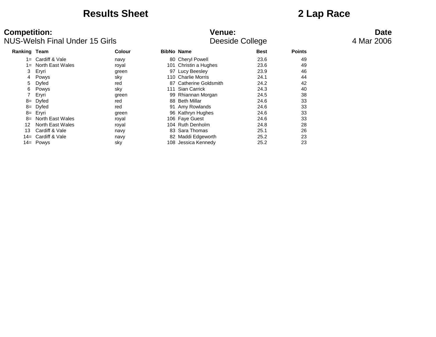### **Results Sheet 2 Lap Race**

| <b>Ranking Team</b> |                     | Colour | <b>BibNo Name</b> |                        | <b>Best</b> | <b>Points</b> |
|---------------------|---------------------|--------|-------------------|------------------------|-------------|---------------|
| 1=                  | Cardiff & Vale      | navy   |                   | 80 Cheryl Powell       | 23.6        | 49            |
| 1=                  | North East Wales    | royal  |                   | 101 Christin a Hughes  | 23.6        | 49            |
| 3                   | Eryri               | green  |                   | 97 Lucy Beesley        | 23.9        | 46            |
| 4                   | Powys               | sky    |                   | 110 Charlie Morris     | 24.1        | 44            |
| 5.                  | Dyfed               | red    |                   | 87 Catherine Goldsmith | 24.2        | 42            |
| 6                   | Powys               | sky    | 111               | Sian Carrick           | 24.3        | 40            |
|                     | Eryri               | green  |                   | 99 Rhiannan Morgan     | 24.5        | 38            |
| 8=                  | Dyfed               | red    |                   | 88 Beth Millar         | 24.6        | 33            |
|                     | $8 = Dyfed$         | red    |                   | 91 Amy Rowlands        | 24.6        | 33            |
|                     | 8= Eryri            | green  |                   | 96 Kathryn Hughes      | 24.6        | 33            |
|                     | 8= North East Wales | royal  |                   | 106 Faye Guest         | 24.6        | 33            |
| 12                  | North East Wales    | royal  |                   | 104 Ruth Denholm       | 24.8        | 28            |
| 13                  | Cardiff & Vale      | navy   |                   | 83 Sara Thomas         | 25.1        | 26            |
|                     | 14= Cardiff & Vale  | navy   |                   | 82 Maddi Edgeworth     | 25.2        | 23            |
|                     | 14= Powys           | sky    | 108               | Jessica Kennedy        | 25.2        | 23            |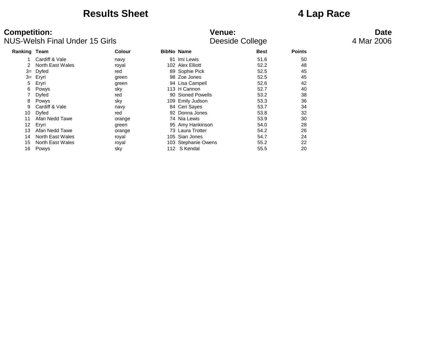### **Results Sheet 4 Lap Race**

| <b>Ranking Team</b> |                  | <b>Colour</b> | <b>BibNo Name</b>   | <b>Best</b> | <b>Points</b> |
|---------------------|------------------|---------------|---------------------|-------------|---------------|
|                     | Cardiff & Vale   | navy          | 81 Imi Lewis        | 51.6        | 50            |
|                     | North East Wales | royal         | 102 Alex Elliott    | 52.2        | 48            |
| $3=$                | Dyfed            | red           | 89 Sophie Pick      | 52.5        | 45            |
| $3=$                | Eryri            | green         | 98 Zoe Jones        | 52.5        | 45            |
| 5                   | Eryri            | green         | 94 Lisa Campell     | 52.6        | 42            |
| 6                   | Powys            | sky           | 113 H Cannon        | 52.7        | 40            |
|                     | Dyfed            | red           | 90 Sioned Powells   | 53.2        | 38            |
| 8                   | Powys            | sky           | 109 Emily Judson    | 53.3        | 36            |
| 9                   | Cardiff & Vale   | navy          | 84 Ceri Sayes       | 53.7        | 34            |
| 10                  | Dyfed            | red           | 92 Donna Jones      | 53.8        | 32            |
| 11                  | Afan Nedd Tawe   | orange        | 74 Nia Lewis        | 53.9        | 30            |
| 12                  | Eryri            | green         | 95 Amy Hankinson    | 54.0        | 28            |
| 13                  | Afan Nedd Tawe   | orange        | 73 Laura Trotter    | 54.2        | 26            |
| 14                  | North East Wales | royal         | 105 Sian Jones      | 54.7        | 24            |
| 15                  | North East Wales | royal         | 103 Stephanie Owens | 55.2        | 22            |
| 16                  | Powys            | sky           | 112 S Kendal        | 55.5        | 20            |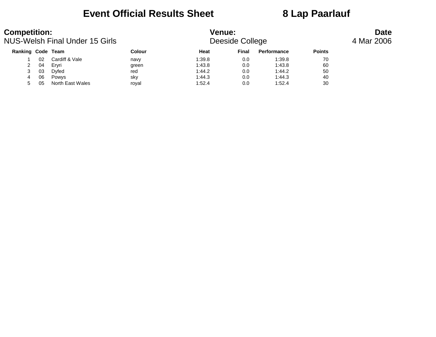### **Event Official Results Sheet 8 Lap Paarlauf**

| <b>Competition:</b><br>NUS-Welsh Final Under 15 Girls |    |                  |               | <b>Venue:</b><br>Deeside College |       | <b>Date</b><br>4 Mar 2006 |               |  |
|-------------------------------------------------------|----|------------------|---------------|----------------------------------|-------|---------------------------|---------------|--|
| Ranking Code Team                                     |    |                  | <b>Colour</b> | Heat                             | Final | Performance               | <b>Points</b> |  |
|                                                       | 02 | Cardiff & Vale   | navy          | 1:39.8                           | 0.0   | 1:39.8                    | 70            |  |
| 2                                                     | 04 | Ervri            | green         | 1:43.8                           | 0.0   | 1:43.8                    | 60            |  |
| 3                                                     | 03 | Dyfed            | red           | 1:44.2                           | 0.0   | 1:44.2                    | 50            |  |
| 4                                                     | 06 | <b>Powys</b>     | sky           | 1:44.3                           | 0.0   | 1:44.3                    | 40            |  |
|                                                       | 05 | North East Wales | royal         | 1:52.4                           | 0.0   | 1:52.4                    | 30            |  |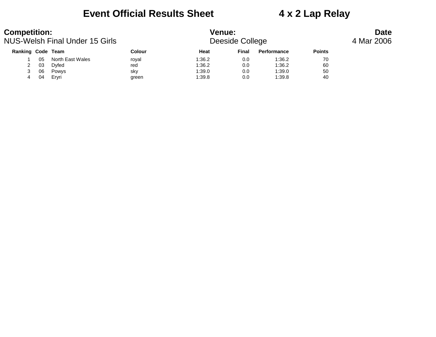### **Event Official Results Sheet 4 x 2 Lap Relay**

| <b>Competition:</b> |    | NUS-Welsh Final Under 15 Girls |        | <b>Venue:</b> | Deeside College | <b>Date</b><br>4 Mar 2006 |               |  |
|---------------------|----|--------------------------------|--------|---------------|-----------------|---------------------------|---------------|--|
| Ranking Code Team   |    |                                | Colour | Heat          | Final           | Performance               | <b>Points</b> |  |
|                     | 05 | North East Wales               | roval  | 1:36.2        | 0.0             | 1:36.2                    | 70            |  |
|                     | 03 | Dyfed                          | red    | 1:36.2        | 0.0             | 1:36.2                    | 60            |  |
|                     | 06 | Powys                          | sky    | 1:39.0        | 0.0             | 1:39.0                    | 50            |  |
| 4                   | 04 | Ervri                          | green  | 1:39.8        | 0.0             | 1:39.8                    | 40            |  |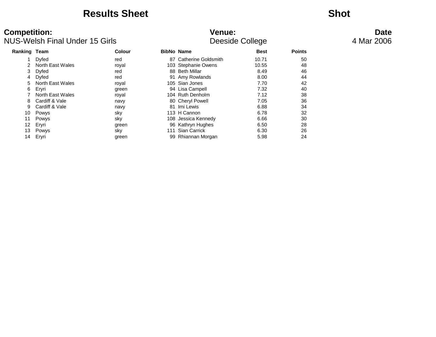### **Results Sheet Shot**

| Ranking Team |                  | Colour |     | <b>BibNo Name</b>          | <b>Best</b> | <b>Points</b> |
|--------------|------------------|--------|-----|----------------------------|-------------|---------------|
|              | Dyfed            | red    | 87  | <b>Catherine Goldsmith</b> | 10.71       | 50            |
|              | North East Wales | royal  |     | 103 Stephanie Owens        | 10.55       | 48            |
| 3            | Dyfed            | red    |     | 88 Beth Millar             | 8.49        | 46            |
| 4            | Dyfed            | red    |     | 91 Amy Rowlands            | 8.00        | 44            |
| 5            | North East Wales | royal  |     | 105 Sian Jones             | 7.70        | 42            |
| 6            | Eryri            | green  |     | 94 Lisa Campell            | 7.32        | 40            |
|              | North East Wales | royal  |     | 104 Ruth Denholm           | 7.12        | 38            |
| 8            | Cardiff & Vale   | navy   |     | 80 Cheryl Powell           | 7.05        | 36            |
| 9            | Cardiff & Vale   | navy   |     | 81 Imi Lewis               | 6.88        | 34            |
| 10           | Powys            | sky    |     | 113 H Cannon               | 6.78        | 32            |
| 11           | Powys            | sky    |     | 108 Jessica Kennedy        | 6.66        | 30            |
| 12           | Eryri            | green  |     | 96 Kathryn Hughes          | 6.50        | 28            |
| 13           | Powys            | sky    | 111 | Sian Carrick               | 6.30        | 26            |
| 14           | Eryri            | green  |     | 99 Rhiannan Morgan         | 5.98        | 24            |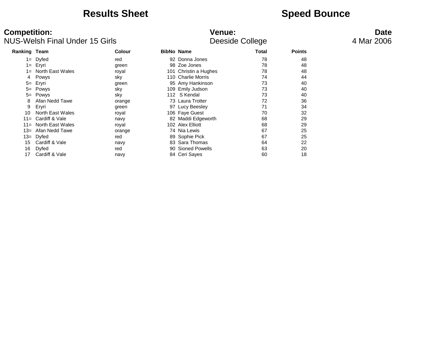### **Results Sheet Speed Bounce**

| Ranking Team |                     | Colour | <b>BibNo Name</b> |                       | <b>Total</b> | <b>Points</b> |
|--------------|---------------------|--------|-------------------|-----------------------|--------------|---------------|
|              | $1 = Dyfed$         | red    |                   | 92 Donna Jones        | 78           | 48            |
|              | 1= Eryri            | green  |                   | 98 Zoe Jones          | 78           | 48            |
|              | 1= North East Wales | royal  |                   | 101 Christin a Hughes | 78           | 48            |
| 4            | Powys               | sky    |                   | 110 Charlie Morris    | 74           | 44            |
|              | 5= Eryri            | green  |                   | 95 Amy Hankinson      | 73           | 40            |
|              | 5= Powys            | sky    |                   | 109 Emily Judson      | 73           | 40            |
|              | 5= Powys            | sky    |                   | 112 S Kendal          | 73           | 40            |
| 8            | Afan Nedd Tawe      | orange |                   | 73 Laura Trotter      | 72           | 36            |
| 9            | Eryri               | green  |                   | 97 Lucy Beesley       | 71           | 34            |
| 10           | North East Wales    | royal  |                   | 106 Faye Guest        | 70           | 32            |
| $11 =$       | Cardiff & Vale      | navy   |                   | 82 Maddi Edgeworth    | 68           | 29            |
| $11 =$       | North East Wales    | royal  |                   | 102 Alex Elliott      | 68           | 29            |
| $13 =$       | Afan Nedd Tawe      | orange |                   | 74 Nia Lewis          | 67           | 25            |
| $13=$        | Dyfed               | red    |                   | 89 Sophie Pick        | 67           | 25            |
| 15           | Cardiff & Vale      | navy   |                   | 83 Sara Thomas        | 64           | 22            |
| 16           | Dyfed               | red    |                   | 90 Sioned Powells     | 63           | 20            |
| 17           | Cardiff & Vale      | navy   |                   | 84 Ceri Sayes         | 60           | 18            |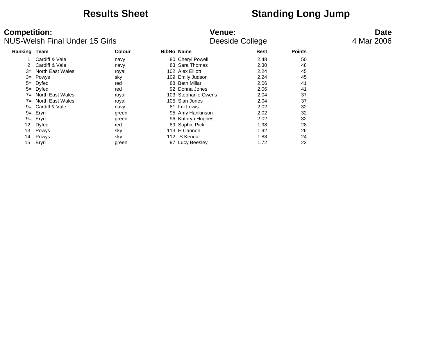## **Results Sheet Standing Long Jump**

| <b>Ranking Team</b> |                  | Colour | <b>BibNo Name</b> |                     | <b>Best</b> | <b>Points</b> |
|---------------------|------------------|--------|-------------------|---------------------|-------------|---------------|
|                     | Cardiff & Vale   | navy   |                   | 80 Cheryl Powell    | 2.48        | 50            |
| 2                   | Cardiff & Vale   | navy   |                   | 83 Sara Thomas      | 2.30        | 48            |
| $3=$                | North East Wales | royal  |                   | 102 Alex Elliott    | 2.24        | 45            |
| $3=$                | Powys            | sky    |                   | 109 Emily Judson    | 2.24        | 45            |
| $5=$                | Dyfed            | red    |                   | 88 Beth Millar      | 2.06        | 41            |
| $5=$                | Dyfed            | red    | 92                | Donna Jones         | 2.06        | 41            |
| $7 =$               | North East Wales | royal  |                   | 103 Stephanie Owens | 2.04        | 37            |
| $7 =$               | North East Wales | royal  |                   | 105 Sian Jones      | 2.04        | 37            |
| $9=$                | Cardiff & Vale   | navy   |                   | 81 Imi Lewis        | 2.02        | 32            |
| $9 =$               | Eryri            | green  |                   | 95 Amy Hankinson    | 2.02        | 32            |
| $9 =$               | Eryri            | green  |                   | 96 Kathryn Hughes   | 2.02        | 32            |
| 12                  | Dyfed            | red    |                   | 89 Sophie Pick      | 1.98        | 28            |
| 13                  | Powys            | sky    |                   | 113 H Cannon        | 1.92        | 26            |
| 14                  | Powys            | sky    |                   | 112 S Kendal        | 1.88        | 24            |
| 15 <sub>1</sub>     | Eryri            | green  | 97                | Lucy Beesley        | 1.72        | 22            |